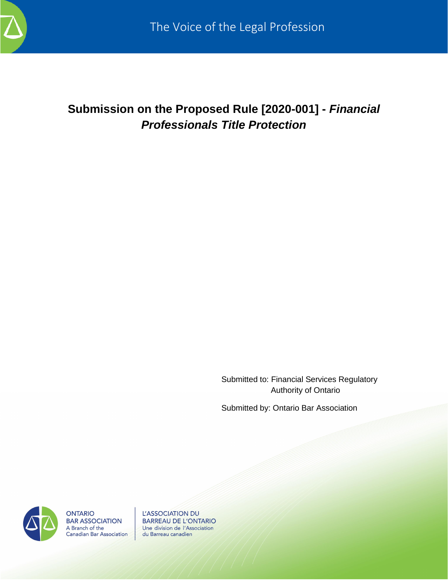

# **Submission on the Proposed Rule [2020-001] -** *Financial Professionals Title Protection*

Submitted to: Financial Services Regulatory Authority of Ontario

Submitted by: Ontario Bar Association



**ONTARIO BAR ASSOCIATION** A Branch of the **Canadian Bar Association** 

L'ASSOCIATION DU **BARREAU DE L'ONTARIO** Une division de l'Association du Barreau canadien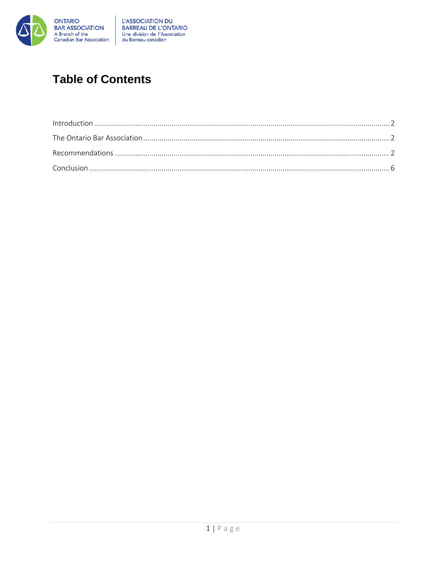

# **Table of Contents**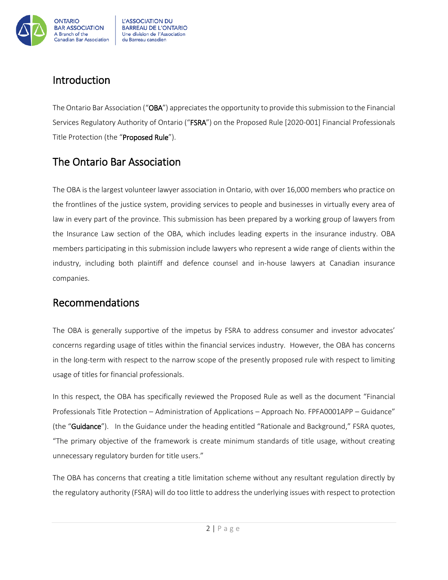

## <span id="page-2-0"></span>Introduction

The Ontario Bar Association ("OBA") appreciates the opportunity to provide this submission to the Financial Services Regulatory Authority of Ontario ("FSRA") on the Proposed Rule [2020-001] Financial Professionals Title Protection (the "Proposed Rule").

# <span id="page-2-1"></span>The Ontario Bar Association

The OBA is the largest volunteer lawyer association in Ontario, with over 16,000 members who practice on the frontlines of the justice system, providing services to people and businesses in virtually every area of law in every part of the province. This submission has been prepared by a working group of lawyers from the Insurance Law section of the OBA, which includes leading experts in the insurance industry. OBA members participating in this submission include lawyers who represent a wide range of clients within the industry, including both plaintiff and defence counsel and in-house lawyers at Canadian insurance companies.

## <span id="page-2-2"></span>Recommendations

The OBA is generally supportive of the impetus by FSRA to address consumer and investor advocates' concerns regarding usage of titles within the financial services industry. However, the OBA has concerns in the long-term with respect to the narrow scope of the presently proposed rule with respect to limiting usage of titles for financial professionals.

In this respect, the OBA has specifically reviewed the Proposed Rule as well as the document "Financial Professionals Title Protection – Administration of Applications – Approach No. FPFA0001APP – Guidance" (the "Guidance"). In the Guidance under the heading entitled "Rationale and Background," FSRA quotes, "The primary objective of the framework is create minimum standards of title usage, without creating unnecessary regulatory burden for title users."

The OBA has concerns that creating a title limitation scheme without any resultant regulation directly by the regulatory authority (FSRA) will do too little to address the underlying issues with respect to protection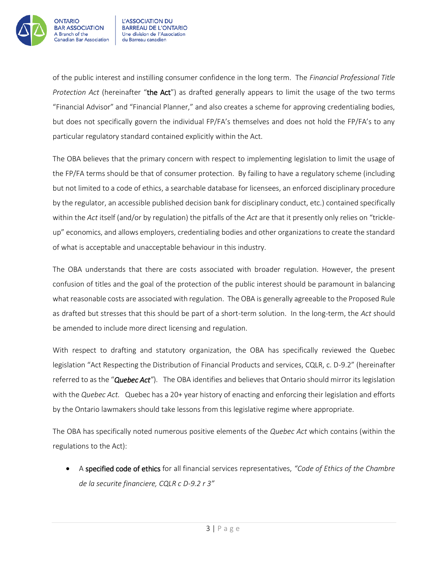

of the public interest and instilling consumer confidence in the long term. The *Financial Professional Title Protection Act* (hereinafter "the Act") as drafted generally appears to limit the usage of the two terms "Financial Advisor" and "Financial Planner," and also creates a scheme for approving credentialing bodies, but does not specifically govern the individual FP/FA's themselves and does not hold the FP/FA's to any particular regulatory standard contained explicitly within the Act.

The OBA believes that the primary concern with respect to implementing legislation to limit the usage of the FP/FA terms should be that of consumer protection. By failing to have a regulatory scheme (including but not limited to a code of ethics, a searchable database for licensees, an enforced disciplinary procedure by the regulator, an accessible published decision bank for disciplinary conduct, etc.) contained specifically within the *Act* itself (and/or by regulation) the pitfalls of the *Act* are that it presently only relies on "trickleup" economics, and allows employers, credentialing bodies and other organizations to create the standard of what is acceptable and unacceptable behaviour in this industry.

The OBA understands that there are costs associated with broader regulation. However, the present confusion of titles and the goal of the protection of the public interest should be paramount in balancing what reasonable costs are associated with regulation. The OBA is generally agreeable to the Proposed Rule as drafted but stresses that this should be part of a short-term solution. In the long-term, the *Act* should be amended to include more direct licensing and regulation.

With respect to drafting and statutory organization, the OBA has specifically reviewed the Quebec legislation "Act Respecting the Distribution of Financial Products and services, CQLR, c. D-9.2" (hereinafter referred to as the "*Quebec Act"*). The OBA identifies and believes that Ontario should mirror its legislation with the *Quebec Act.* Quebec has a 20+ year history of enacting and enforcing their legislation and efforts by the Ontario lawmakers should take lessons from this legislative regime where appropriate.

The OBA has specifically noted numerous positive elements of the *Quebec Act* which contains (within the regulations to the Act):

 A specified code of ethics for all financial services representatives, *"Code of Ethics of the Chambre de la securite financiere, CQLR c D-9.2 r 3"*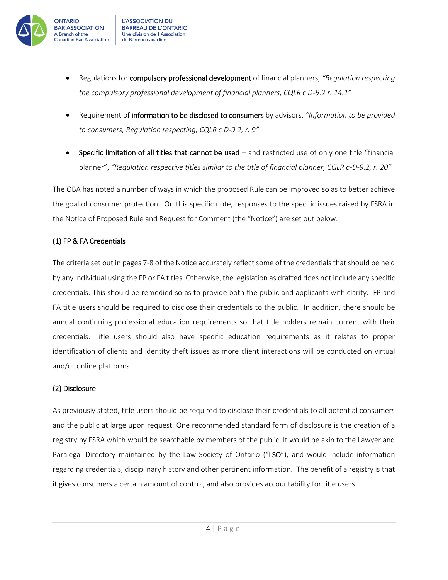

- Regulations for compulsory professional development of financial planners, *"Regulation respecting the compulsory professional development of financial planners, CQLR c D-9.2 r. 14.1"*
- Requirement of information to be disclosed to consumers by advisors, *"Information to be provided to consumers, Regulation respecting, CQLR c D-9.2, r. 9"*
- Specific limitation of all titles that cannot be used and restricted use of only one title "financial planner", *"Regulation respective titles similar to the title of financial planner, CQLR c-D-9.2, r. 20"*

The OBA has noted a number of ways in which the proposed Rule can be improved so as to better achieve the goal of consumer protection. On this specific note, responses to the specific issues raised by FSRA in the Notice of Proposed Rule and Request for Comment (the "Notice") are set out below.

### (1) FP & FA Credentials

The criteria set out in pages 7-8 of the Notice accurately reflect some of the credentials that should be held by any individual using the FP or FA titles. Otherwise, the legislation as drafted does not include any specific credentials. This should be remedied so as to provide both the public and applicants with clarity. FP and FA title users should be required to disclose their credentials to the public. In addition, there should be annual continuing professional education requirements so that title holders remain current with their credentials. Title users should also have specific education requirements as it relates to proper identification of clients and identity theft issues as more client interactions will be conducted on virtual and/or online platforms.

#### (2) Disclosure

As previously stated, title users should be required to disclose their credentials to all potential consumers and the public at large upon request. One recommended standard form of disclosure is the creation of a registry by FSRA which would be searchable by members of the public. It would be akin to the Lawyer and Paralegal Directory maintained by the Law Society of Ontario ("LSO"), and would include information regarding credentials, disciplinary history and other pertinent information. The benefit of a registry is that it gives consumers a certain amount of control, and also provides accountability for title users.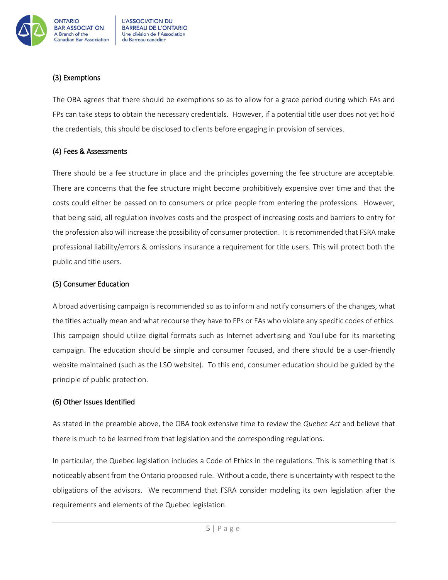

### (3) Exemptions

The OBA agrees that there should be exemptions so as to allow for a grace period during which FAs and FPs can take steps to obtain the necessary credentials. However, if a potential title user does not yet hold the credentials, this should be disclosed to clients before engaging in provision of services.

#### (4) Fees & Assessments

There should be a fee structure in place and the principles governing the fee structure are acceptable. There are concerns that the fee structure might become prohibitively expensive over time and that the costs could either be passed on to consumers or price people from entering the professions. However, that being said, all regulation involves costs and the prospect of increasing costs and barriers to entry for the profession also will increase the possibility of consumer protection. It is recommended that FSRA make professional liability/errors & omissions insurance a requirement for title users. This will protect both the public and title users.

#### (5) Consumer Education

A broad advertising campaign is recommended so as to inform and notify consumers of the changes, what the titles actually mean and what recourse they have to FPs or FAs who violate any specific codes of ethics. This campaign should utilize digital formats such as Internet advertising and YouTube for its marketing campaign. The education should be simple and consumer focused, and there should be a user-friendly website maintained (such as the LSO website). To this end, consumer education should be guided by the principle of public protection.

### (6) Other Issues Identified

As stated in the preamble above, the OBA took extensive time to review the *Quebec Act* and believe that there is much to be learned from that legislation and the corresponding regulations.

In particular, the Quebec legislation includes a Code of Ethics in the regulations. This is something that is noticeably absent from the Ontario proposed rule. Without a code, there is uncertainty with respect to the obligations of the advisors. We recommend that FSRA consider modeling its own legislation after the requirements and elements of the Quebec legislation.